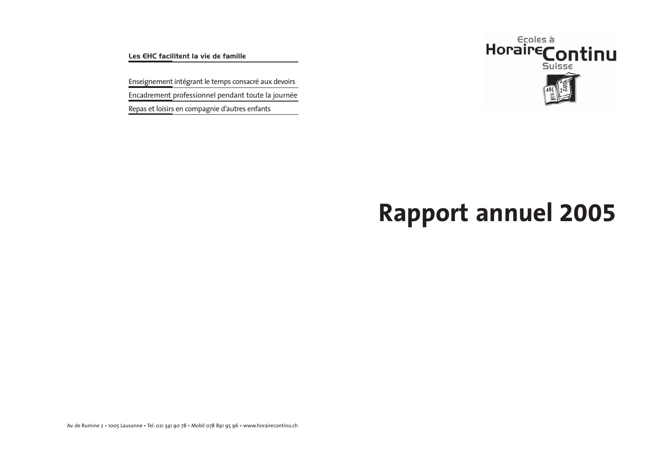Les EHC facilitent la vie de famille

Enseignement intégrant le temps consacré aux devoirs Encadrement professionnel pendant toute la journée Repas et loisirs en compagnie d'autres enfants



# **Rapport annuel 2005**

Av. de Rumine 2 · 1005 Lausanne · Tel. 021 341 90 78 · Mobil 078 891 95 96 · www.horairecontinu.ch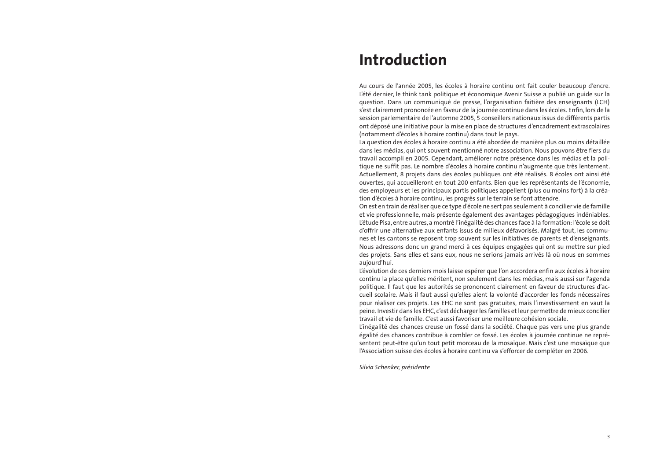# **Introduction**

Au cours de l'année 2005, les écoles à horaire continu ont fait couler beaucoup d'encre. L'été dernier, le think tank politique et économique Avenir Suisse a publié un guide sur la question. Dans un communiqué de presse, l'organisation faîtière des enseignants (LCH) s'est clairement prononcée en faveur de la journée continue dans les écoles. Enfin, lors de la session parlementaire de l'automne 2005, 5 conseillers nationaux issus de différents partis ont déposé une initiative pour la mise en place de structures d'encadrement extrascolaires (notamment d'écoles à horaire continu) dans tout le pays.

La question des écoles à horaire continu a été abordée de manière plus ou moins détaillée dans les médias, qui ont souvent mentionné notre association. Nous pouvons être fiers du travail accompli en 2005. Cependant, améliorer notre présence dans les médias et la politique ne suffit pas. Le nombre d'écoles à horaire continu n'augmente que très lentement. Actuellement, 8 projets dans des écoles publiques ont été réalisés. 8 écoles ont ainsi été ouvertes, qui accueilleront en tout 200 enfants. Bien que les représentants de l'économie, des employeurs et les principaux partis politiques appellent (plus ou moins fort) à la création d'écoles à horaire continu, les progrès sur le terrain se font attendre.

On est en train de réaliser que ce type d'école ne sert pas seulement à concilier vie de famille et vie professionnelle, mais présente également des avantages pédagogiques indéniables. L'étude Pisa, entre autres, a montré l'inégalité des chances face à la formation: l'école se doit d'offrir une alternative aux enfants issus de milieux défavorisés. Malgré tout, les communes et les cantons se reposent trop souvent sur les initiatives de parents et d'enseignants. Nous adressons donc un grand merci à ces équipes engagées qui ont su mettre sur pied des projets. Sans elles et sans eux, nous ne serions jamais arrivés là où nous en sommes auiourd'hui.

L'évolution de ces derniers mois laisse espérer que l'on accordera enfin aux écoles à horaire continu la place qu'elles méritent, non seulement dans les médias, mais aussi sur l'agenda politique. Il faut que les autorités se prononcent clairement en faveur de structures d'accueil scolaire. Mais il faut aussi qu'elles aient la volonté d'accorder les fonds nécessaires pour réaliser ces projets. Les EHC ne sont pas gratuites, mais l'investissement en vaut la peine. Investir dans les EHC, c'est décharger les familles et leur permettre de mieux concilier travail et vie de famille. C'est aussi favoriser une meilleure cohésion sociale.

L'inégalité des chances creuse un fossé dans la société. Chaque pas vers une plus grande égalité des chances contribue à combler ce fossé. Les écoles à journée continue ne représentent peut-être qu'un tout petit morceau de la mosaïque. Mais c'est une mosaïque que l'Association suisse des écoles à horaire continu va s'efforcer de compléter en 2006.

Silvia Schenker, présidente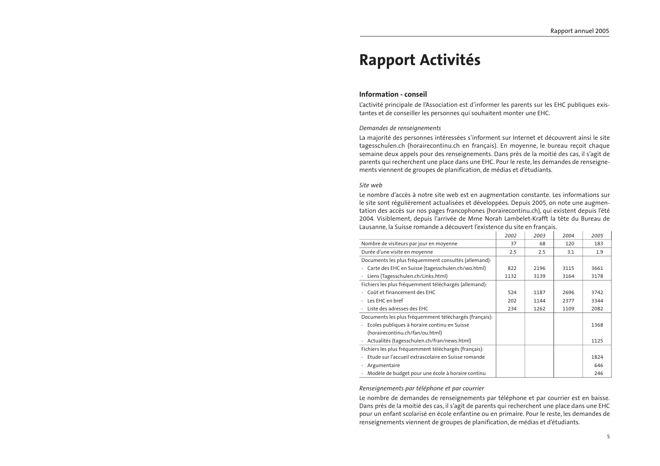# **Rapport Activités**

#### **Information - conseil**

L'activité principale de l'Association est d'informer les parents sur les EHC publiques existantes et de conseiller les personnes qui souhaitent monter une EHC.

#### Demandes de renseignements

La majorité des personnes intéressées s'informent sur Internet et découvrent ainsi le site tagesschulen.ch (horairecontinu.ch en français). En moyenne, le bureau reçoit chaque semaine deux appels pour des renseignements. Dans près de la moitié des cas, il s'agit de parents qui recherchent une place dans une EHC. Pour le reste, les demandes de renseignements viennent de groupes de planification, de médias et d'étudiants.

#### Site web

Le nombre d'accès à notre site web est en augmentation constante. Les informations sur le site sont régulièrement actualisées et développées. Depuis 2005, on note une augmentation des accès sur nos pages francophones (horairecontinu.ch), qui existent depuis l'été 2004. Visiblement, depuis l'arrivée de Mme Norah Lambelet-Krafft la tête du Bureau de Lausanne, la Suisse romande a découvert l'existence du site en français.

|                                                        | 2002 | 2003 | 2004 | 2005 |
|--------------------------------------------------------|------|------|------|------|
| Nombre de visiteurs par jour en moyenne                | 37   | 68   | 120  | 183  |
| Durée d'une visite en moyenne                          | 2.5  | 2.5  | 3.1  | 1.9  |
| Documents les plus fréquemment consultés (allemand):   |      |      |      |      |
| Carte des EHC en Suisse (tagesschulen.ch/wo.html)      | 822  | 2196 | 3115 | 3661 |
| Liens (Tagesschulen.ch/Links.html)                     | 1132 | 3139 | 3164 | 3178 |
| Fichiers les plus fréquemment téléchargés (allemand):  |      |      |      |      |
| Coût et financement des EHC                            | 524  | 1187 | 2696 | 3742 |
| Les EHC en bref                                        | 202  | 1144 | 2377 | 3344 |
| Liste des adresses des EHC                             | 234  | 1262 | 1109 | 2082 |
| Documents les plus fréquemment téléchargés (français): |      |      |      |      |
| Ecoles publiques à horaire continu en Suisse           |      |      |      | 1368 |
| (horairecontinu.ch/fan/ou.html)                        |      |      |      |      |
| - Actualités (tagesschulen.ch/fran/news.html)          |      |      |      | 1125 |
| Fichiers les plus fréquemment téléchargés (français):  |      |      |      |      |
| Etude sur l'accueil extrascolaire en Suisse romande    |      |      |      | 1824 |
| Argumentaire                                           |      |      |      | 646  |
| Modèle de budget pour une école à horaire continu      |      |      |      | 246  |

#### Renseignements par téléphone et par courrier

Le nombre de demandes de renseignements par téléphone et par courrier est en baisse. Dans près de la moitié des cas, il s'agit de parents qui recherchent une place dans une EHC pour un enfant scolarisé en école enfantine ou en primaire. Pour le reste, les demandes de renseignements viennent de groupes de planification, de médias et d'étudiants.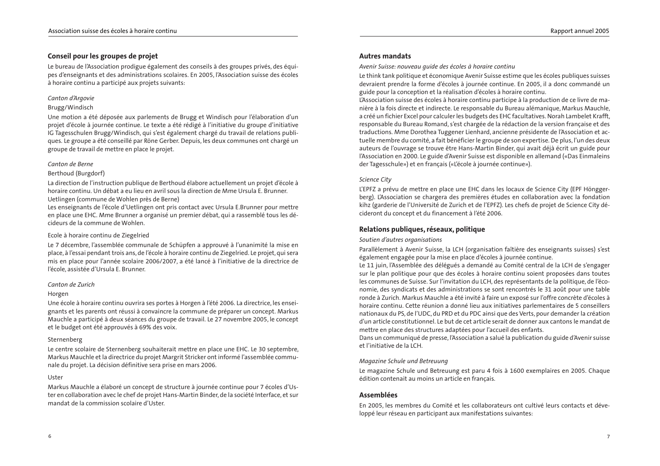# Conseil pour les groupes de projet

Le bureau de l'Association prodigue également des conseils à des groupes privés, des équipes d'enseignants et des administrations scolaires. En 2005, l'Association suisse des écoles à horaire continu a participé aux projets suivants:

#### Canton d'Argovie

#### Brugg/Windisch

Une motion a été déposée aux parlements de Brugg et Windisch pour l'élaboration d'un projet d'école à journée continue. Le texte a été rédigé à l'initiative du groupe d'initiative IG Tagesschulen Brugg/Windisch, qui s'est également chargé du travail de relations publiques. Le groupe a été conseillé par Röne Gerber. Depuis, les deux communes ont chargé un groupe de travail de mettre en place le projet.

#### Canton de Berne

#### Berthoud (Burgdorf)

La direction de l'instruction publique de Berthoud élabore actuellement un projet d'école à horaire continu. Un débat a eu lieu en avril sous la direction de Mme Ursula E. Brunner. Uetlingen (commune de Wohlen près de Berne)

Les enseignants de l'école d'Uetlingen ont pris contact avec Ursula E.Brunner pour mettre en place une EHC. Mme Brunner a organisé un premier débat, qui a rassemblé tous les décideurs de la commune de Wohlen.

#### Ecole à horaire continu de Ziegelried

Le 7 décembre, l'assemblée communale de Schüpfen a approuvé à l'unanimité la mise en place, à l'essai pendant trois ans, de l'école à horaire continu de Ziegelried. Le projet, qui sera mis en place pour l'année scolaire 2006/2007, a été lancé à l'initiative de la directrice de l'école, assistée d'Ursula E. Brunner.

#### Canton de Zurich

#### Horgen

Une école à horaire continu ouvrira ses portes à Horgen à l'été 2006. La directrice, les enseignants et les parents ont réussi à convaincre la commune de préparer un concept. Markus Mauchle a participé à deux séances du groupe de travail. Le 27 novembre 2005, le concept et le budget ont été approuvés à 69% des voix.

#### Sternenberg

Le centre scolaire de Sternenberg souhaiterait mettre en place une EHC. Le 30 septembre, Markus Mauchle et la directrice du projet Margrit Stricker ont informé l'assemblée communale du projet. La décision définitive sera prise en mars 2006.

#### Uster

Markus Mauchle a élaboré un concept de structure à journée continue pour 7 écoles d'Uster en collaboration avec le chef de projet Hans-Martin Binder, de la société Interface, et sur mandat de la commission scolaire d'Uster.

#### **Autres mandats**

#### Avenir Suisse: nouveau quide des écoles à horaire continu

Le think tank politique et économique Avenir Suisse estime que les écoles publiques suisses devraient prendre la forme d'écoles à journée continue. En 2005, il a donc commandé un guide pour la conception et la réalisation d'écoles à horaire continu.

L'Association suisse des écoles à horaire continu participe à la production de ce livre de manière à la fois directe et indirecte. Le responsable du Bureau alémanique, Markus Mauchle, a créé un fichier Excel pour calculer les budgets des EHC facultatives. Norah Lambelet Krafft, responsable du Bureau Romand, s'est chargée de la rédaction de la version francaise et des traductions. Mme Dorothea Tuggener Lienhard, ancienne présidente de l'Association et actuelle membre du comité, a fait bénéficier le groupe de son expertise. De plus, l'un des deux auteurs de l'ouvrage se trouve être Hans-Martin Binder, qui avait déjà écrit un guide pour l'Association en 2000. Le guide d'Avenir Suisse est disponible en allemand («Das Einmaleins der Tagesschule») et en français («L'école à journée continue»).

#### Science City

L'EPFZ a prévu de mettre en place une EHC dans les locaux de Science City (EPF Hönggerberg). L'Association se chargera des premières études en collaboration avec la fondation kihz (garderie de l'Université de Zurich et de l'EPFZ). Les chefs de projet de Science City décideront du concept et du financement à l'été 2006.

# Relations publiques, réseaux, politique

#### Soutien d'autres organisations

Parallèlement à Avenir Suisse, la LCH (organisation faîtière des enseignants suisses) s'est également engagée pour la mise en place d'écoles à journée continue.

Le 11 juin, l'Assemblée des délégués a demandé au Comité central de la LCH de s'engager sur le plan politique pour que des écoles à horaire continu soient proposées dans toutes les communes de Suisse. Sur l'invitation du LCH, des représentants de la politique, de l'économie, des syndicats et des administrations se sont rencontrés le 31 août pour une table ronde à Zurich. Markus Mauchle a été invité à faire un exposé sur l'offre concrète d'écoles à horaire continu. Cette réunion a donné lieu aux initiatives parlementaires de 5 conseillers nationaux du PS, de l'UDC, du PRD et du PDC ainsi que des Verts, pour demander la création d'un article constitutionnel. Le but de cet article serait de donner aux cantons le mandat de mettre en place des structures adaptées pour l'accueil des enfants.

Dans un communiqué de presse, l'Association a salué la publication du guide d'Avenir suisse et l'initiative de la LCH.

#### Magazine Schule und Betreuung

Le magazine Schule und Betreuung est paru 4 fois à 1600 exemplaires en 2005. Chaque édition contenait au moins un article en français.

# **Assemblées**

En 2005, les membres du Comité et les collaborateurs ont cultivé leurs contacts et développé leur réseau en participant aux manifestations suivantes: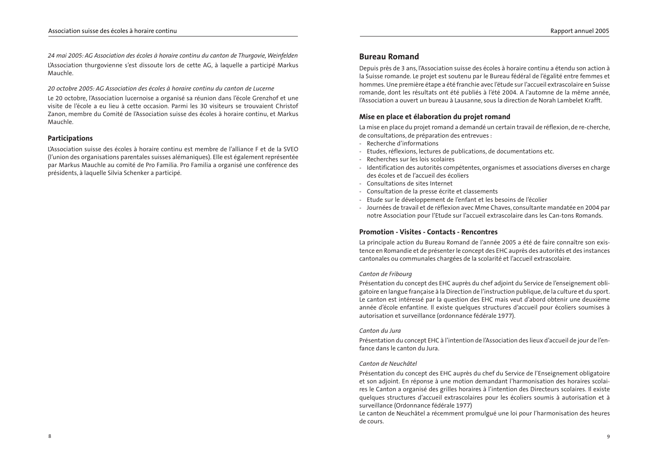24 mai 2005: AG Association des écoles à horaire continu du canton de Thurgovie, Weinfelden L'Association thurgovienne s'est dissoute lors de cette AG, à laquelle a participé Markus Mauchle.

20 octobre 2005: AG Association des écoles à horaire continu du canton de Lucerne

Le 20 octobre, l'Association lucernoise a organisé sa réunion dans l'école Grenzhof et une visite de l'école a eu lieu à cette occasion. Parmi les 30 visiteurs se trouvaient Christof Zanon, membre du Comité de l'Association suisse des écoles à horaire continu, et Markus Mauchle.

# **Participations**

L'Association suisse des écoles à horaire continu est membre de l'alliance F et de la SVEO (l'union des organisations parentales suisses alémaniques). Elle est également représentée par Markus Mauchle au comité de Pro Familia. Pro Familia a organisé une conférence des présidents, à laquelle Silvia Schenker a participé.

# **Rureau Romand**

Depuis près de 3 ans, l'Association suisse des écoles à horaire continu a étendu son action à la Suisse romande. Le projet est soutenu par le Bureau fédéral de l'égalité entre femmes et hommes. Une première étape a été franchie avec l'étude sur l'accueil extrascolaire en Suisse romande, dont les résultats ont été publiés à l'été 2004. A l'automne de la même année, l'Association a ouvert un bureau à Lausanne, sous la direction de Norah Lambelet Krafft.

#### Mise en place et élaboration du projet romand

La mise en place du projet romand a demandé un certain travail de réflexion, de re-cherche, de consultations, de préparation des entrevues :

- Recherche d'informations
- Etudes, réflexions, lectures de publications, de documentations etc.
- Recherches sur les lois scolaires
- Identification des autorités compétentes, organismes et associations diverses en charge des écoles et de l'accueil des écoliers
- Consultations de sites Internet
- Consultation de la presse écrite et classements
- Etude sur le développement de l'enfant et les besoins de l'écolier
- Journées de travail et de réflexion avec Mme Chaves, consultante mandatée en 2004 par notre Association pour l'Etude sur l'accueil extrascolaire dans les Can-tons Romands.

#### **Promotion - Visites - Contacts - Rencontres**

La principale action du Bureau Romand de l'année 2005 a été de faire connaître son existence en Romandie et de présenter le concept des EHC auprès des autorités et des instances cantonales ou communales chargées de la scolarité et l'accueil extrascolaire.

#### Canton de Fribourg

Présentation du concept des EHC auprès du chef adjoint du Service de l'enseignement obligatoire en langue française à la Direction de l'instruction publique, de la culture et du sport. Le canton est intéressé par la question des EHC mais veut d'abord obtenir une deuxième année d'école enfantine. Il existe quelques structures d'accueil pour écoliers soumises à autorisation et surveillance (ordonnance fédérale 1977).

#### Canton du Jura

Présentation du concept EHC à l'intention de l'Association des lieux d'accueil de jour de l'enfance dans le canton du Jura.

#### Canton de Neuchâtel

Présentation du concept des EHC auprès du chef du Service de l'Enseignement obligatoire et son adjoint. En réponse à une motion demandant l'harmonisation des horaires scolaires le Canton a organisé des grilles horaires à l'intention des Directeurs scolaires. Il existe quelques structures d'accueil extrascolaires pour les écoliers soumis à autorisation et à surveillance (Ordonnance fédérale 1977)

Le canton de Neuchâtel a récemment promulgué une loi pour l'harmonisation des heures de cours.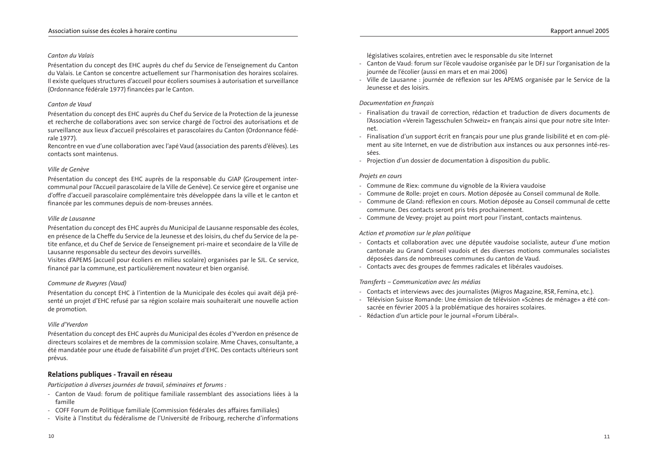#### Canton du Valais

Présentation du concept des EHC auprès du chef du Service de l'enseignement du Canton du Valais. Le Canton se concentre actuellement sur l'harmonisation des horaires scolaires. Il existe quelques structures d'accueil pour écoliers soumises à autorisation et surveillance (Ordonnance fédérale 1977) financées par le Canton.

#### Canton de Vaud

Présentation du concept des EHC auprès du Chef du Service de la Protection de la jeunesse et recherche de collaborations avec son service chargé de l'octroi des autorisations et de surveillance aux lieux d'accueil préscolaires et parascolaires du Canton (Ordonnance fédérale 1977).

Rencontre en vue d'une collaboration avec l'apé Vaud (association des parents d'élèves). Les contacts sont maintenus.

#### Ville de Genève

Présentation du concept des EHC auprès de la responsable du GIAP (Groupement intercommunal pour l'Accueil parascolaire de la Ville de Genève). Ce service gère et organise une d'offre d'accueil parascolaire complémentaire très développée dans la ville et le canton et financée par les communes depuis de nom-breuses années.

#### Ville de Lausanne

Présentation du concept des EHC auprès du Municipal de Lausanne responsable des écoles, en présence de la Cheffe du Service de la Jeunesse et des loisirs, du chef du Service de la petite enfance, et du Chef de Service de l'enseignement pri-maire et secondaire de la Ville de Lausanne responsable du secteur des devoirs surveillés.

Visites d'APEMS (accueil pour écoliers en milieu scolaire) organisées par le SJL. Ce service, financé par la commune, est particulièrement novateur et bien organisé.

#### Commune de Rueyres (Vaud)

Présentation du concept EHC à l'intention de la Municipale des écoles qui avait déjà présenté un projet d'EHC refusé par sa région scolaire mais souhaiterait une nouvelle action de promotion.

#### Ville d'Yverdon

Présentation du concept des EHC auprès du Municipal des écoles d'Yverdon en présence de directeurs scolaires et de membres de la commission scolaire. Mme Chaves, consultante, a été mandatée pour une étude de faisabilité d'un projet d'EHC. Des contacts ultérieurs sont prévus.

# Relations publiques - Travail en réseau

Participation à diverses journées de travail, séminaires et forums :

- Canton de Vaud: forum de politique familiale rassemblant des associations liées à la famille
- COFF Forum de Politique familiale (Commission fédérales des affaires familiales)
- Visite à l'Institut du fédéralisme de l'Université de Fribourg, recherche d'informations

législatives scolaires, entretien avec le responsable du site Internet

- Canton de Vaud: forum sur l'école vaudoise organisée par le DFJ sur l'organisation de la journée de l'écolier (aussi en mars et en mai 2006)
- Ville de Lausanne : journée de réflexion sur les APEMS organisée par le Service de la leunesse et des loisirs

#### Documentation en francais

- Finalisation du travail de correction, rédaction et traduction de divers documents de l'Association «Verein Tagesschulen Schweiz» en francais ainsi que pour notre site Internet
- Finalisation d'un support écrit en français pour une plus grande lisibilité et en com-plément au site Internet, en vue de distribution aux instances ou aux personnes inté-ressées.
- Projection d'un dossier de documentation à disposition du public.

#### Projets en cours

- Commune de Riex: commune du vignoble de la Riviera vaudoise
- Commune de Rolle: projet en cours. Motion déposée au Conseil communal de Rolle.
- Commune de Gland: réflexion en cours. Motion déposée au Conseil communal de cette commune. Des contacts seront pris très prochainement.
- Commune de Vevey: projet au point mort pour l'instant, contacts maintenus.

#### Action et promotion sur le plan politique

- Contacts et collaboration avec une députée vaudoise socialiste, auteur d'une motion cantonale au Grand Conseil vaudois et des diverses motions communales socialistes déposées dans de nombreuses communes du canton de Vaud.
- Contacts avec des groupes de femmes radicales et libérales vaudoises.

#### Transferts - Communication avec les médias

- Contacts et interviews avec des journalistes (Migros Magazine, RSR, Femina, etc.).
- Télévision Suisse Romande: Une émission de télévision «Scènes de ménage» a été consacrée en février 2005 à la problématique des horaires scolaires.
- Rédaction d'un article pour le journal «Forum Libéral».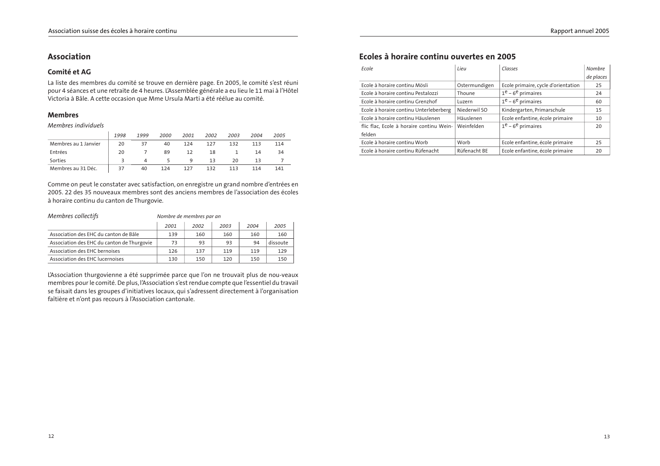# **Association**

#### Comité et AG

La liste des membres du comité se trouve en dernière page. En 2005, le comité s'est réuni pour 4 séances et une retraite de 4 heures. L'Assemblée générale a eu lieu le 11 mai à l'Hôtel Victoria à Bâle. A cette occasion que Mme Ursula Marti a été réélue au comité.

# **Membres**

#### Membres individuels

|                      | 1998 | 1999 | <i>2000</i> | 2001 | 2002 | 2003 | 2004 | 2005 |
|----------------------|------|------|-------------|------|------|------|------|------|
| Membres au 1 Janvier | 20   | 37   | 40          | 124  | 127  | 132  | 113  | 114  |
| Entrées              | 20   |      | 89          | 12   | 18   |      | 14   | 34   |
| Sorties              |      | Δ    |             | 9    | 13   | 20   | 13   |      |
| Membres au 31 Déc.   | 37   | 40   | 124         | 127  | 132  | 113  | 114  | 141  |

Comme on peut le constater avec satisfaction, on enregistre un grand nombre d'entrées en 2005. 22 des 35 nouveaux membres sont des anciens membres de l'association des écoles à horaire continu du canton de Thurgovie.

| Membres collectifs                         | Nombre de membres par an |      |      |      |          |
|--------------------------------------------|--------------------------|------|------|------|----------|
|                                            | 2001                     | 2002 | 2003 | 2004 | 2005     |
| Association des EHC du canton de Bâle      | 139                      | 160  | 160  | 160  | 160      |
| Association des EHC du canton de Thurgovie | 73                       | 93   | 93   | 94   | dissoute |
| Association des EHC bernoises              | 126                      | 137  | 119  | 119  | 129      |
| Association des EHC lucernoises            | 130                      | 150  | 120  | 150  | 150      |

L'Association thurgovienne a été supprimée parce que l'on ne trouvait plus de nou-veaux membres pour le comité. De plus, l'Association s'est rendue compte que l'essentiel du travail se faisait dans les groupes d'initiatives locaux, qui s'adressent directement à l'organisation faîtière et n'ont pas recours à l'Association cantonale.

# Ecoles à horaire continu ouvertes en 2005

| Frole                                    | Lieu          | Classes                             | Nombre    |
|------------------------------------------|---------------|-------------------------------------|-----------|
|                                          |               |                                     | de places |
| Ecole à horaire continu Mösli            | Ostermundigen | Ecole primaire, cycle d'orientation | 25        |
| Ecole à horaire continu Pestalozzi       | Thoune        | $1^e$ – 6 <sup>e</sup> primaires    | 24        |
| Ecole à horaire continu Grenzhof         | Luzern        | $1^e$ – 6 <sup>e</sup> primaires    | 60        |
| Ecole à horaire continu Unterleberberg   | Niederwil SO  | Kindergarten, Primarschule          | 15        |
| Ecole à horaire continu Häuslenen        | Häuslenen     | Ecole enfantine, école primaire     | 10        |
| flic flac, Ecole à horaire continu Wein- | Weinfelden    | $1^e$ – 6 <sup>e</sup> primaires    | 20        |
| felden                                   |               |                                     |           |
| Ecole à horaire continu Worb             | Worb          | Ecole enfantine, école primaire     | 25        |
| Ecole à horaire continu Rüfenacht        | Rüfenacht BE  | Ecole enfantine, école primaire     | 20        |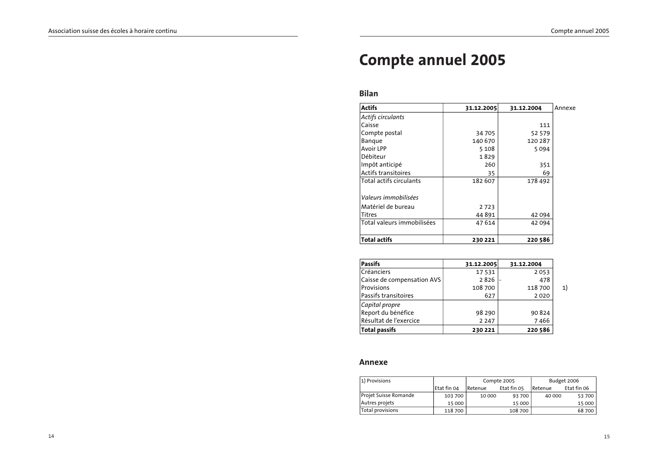xe

# **Compte annuel 2005**

#### **Bilan**

| <b>Actifs</b>              | 31.12.2005 | 31.12.2004 | Anne |
|----------------------------|------------|------------|------|
| Actifs circulants          |            |            |      |
| Caisse                     |            | 111        |      |
| Compte postal              | 34 705     | 52 579     |      |
| Banque                     | 140 670    | 120 287    |      |
| Avoir LPP                  | 5 1 0 8    | 5094       |      |
| Débiteur                   | 1829       |            |      |
| Impôt anticipé             | 260        | 351        |      |
| Actifs transitoires        | 35         | 69         |      |
| Total actifs circulants    | 182 607    | 178 492    |      |
| Valeurs immobilisées       |            |            |      |
| Matériel de bureau         | 2723       |            |      |
| Titres                     | 44 891     | 42 094     |      |
| Total valeurs immobilisées | 47614      | 42 094     |      |
| Total actifs               | 230 221    | 220 586    |      |

| <b>Passifs</b>             | 31.12.2005 | 31.12.2004 |  |
|----------------------------|------------|------------|--|
| Créanciers                 | 17 5 3 1   | 2053       |  |
| Caisse de compensation AVS | 2826       | 478        |  |
| Provisions                 | 108 700    | 118 700    |  |
| Passifs transitoires       | 627        | 2020       |  |
| Capital propre             |            |            |  |
| Report du bénéfice         | 98 290     | 90824      |  |
| Résultat de l'exercice     | 2 2 4 7    | 7466       |  |
| <b>Total passifs</b>       | 230 221    | 220 586    |  |

#### 

| 1) Provisions         |             |         | Compte 2005 |         | Budget 2006 |
|-----------------------|-------------|---------|-------------|---------|-------------|
|                       | Etat fin 04 | Retenue | Etat fin 05 | Retenue | Etat fin 06 |
| Projet Suisse Romande | 103 700     | 10 000  | 93 700      | 40 000  | 53 700      |
| Autres projets        | 15 000      |         | 15 000      |         | 15 000      |
| Total provisions      | 118 700     |         | 108 700     |         | 68700       |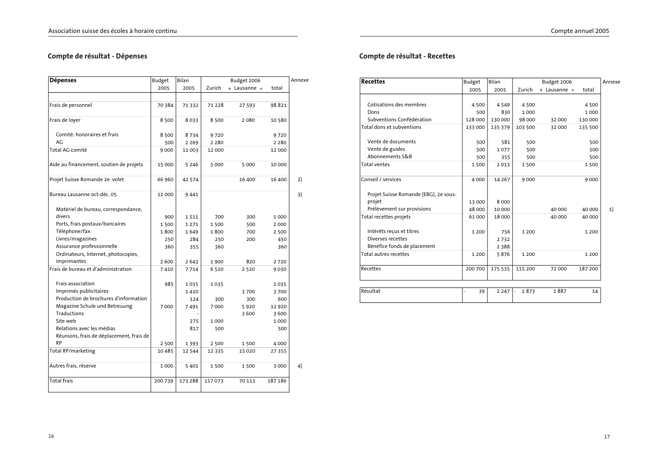#### **Compte de résultat - Dépenses**

| <b>Dépenses</b>                          | Budget  | <b>Bilan</b> |          | Budget 2006  |         | Annexe |
|------------------------------------------|---------|--------------|----------|--------------|---------|--------|
|                                          | 2005    | 2005         | Zurich   | + Lausanne = | total   |        |
|                                          |         |              |          |              |         |        |
| Frais de personnel                       | 70384   | 71332        | 71 2 28  | 27 593       | 98821   |        |
| Frais de loyer                           | 8 500   | 8033         | 8 500    | 2080         | 10 580  |        |
| Comité: honoraires et frais              | 8 500   | 8734         | 9720     |              | 9720    |        |
| AG                                       | 500     | 2 2 6 9      | 2 2 8 0  |              | 2 2 8 0 |        |
| Total AG comité                          | 9 0 0 0 | 11003        | 12 000   |              | 12 000  |        |
| Aide au financement, soutien de projets  | 15 000  | 5 2 4 6      | 5 0 0 0  | 5 0 0 0      | 10 000  |        |
| Projet Suisse Romande 2e volet           | 66 960  | 42 5 7 4     |          | 16 400       | 16 400  | 2)     |
| Bureau Lausanne oct-déc. 05              | 12 000  | 9441         |          |              |         | 3)     |
| Matériel de bureau, correspondance,      |         |              |          |              |         |        |
| divers                                   | 900     | 1511         | 700      | 300          | 1000    |        |
| Ports, frais postaux/bancaires           | 1500    | 1271         | 1500     | 500          | 2000    |        |
| Téléphone/fax                            | 1800    | 1649         | 1800     | 700          | 2 500   |        |
| Livres/magazines                         | 250     | 284          | 250      | 200          | 450     |        |
| Assurance professionnelle                | 360     | 355          | 360      |              | 360     |        |
| Ordinateurs, Internet, photocopies,      |         |              |          |              |         |        |
| imprimantes                              | 2 600   | 2 6 4 3      | 1900     | 820          | 2720    |        |
| Frais de bureau et d'administration      | 7410    | 7714         | 6 5 1 0  | 2 5 2 0      | 9030    |        |
| Frais association                        | 985     | 1035         | 1035     |              | 1035    |        |
| Imprimés publicitaires                   |         | 1410         |          | 3700         | 3700    |        |
| Production de brochures d'information    |         | 124          | 300      | 300          | 600     |        |
| Magazine Schule und Betreuung            | 7000    | 7491         | 7000     | 5920         | 12 9 20 |        |
| <b>Traductions</b>                       |         |              |          | 3600         | 3 600   |        |
| Site web                                 |         | 275          | 1 000    |              | 1000    |        |
| Relations avec les médias                |         | 817          | 500      |              | 500     |        |
| Réunions, frais de déplacement, frais de |         |              |          |              |         |        |
| <b>RP</b>                                | 2 500   | 1 3 9 3      | 2 500    | 1500         | 4 0 0 0 |        |
| Total RP/marketing                       | 10485   | 12 5 4 4     | 12 3 3 5 | 15 0 20      | 27 355  |        |
| Autres frais, réserve                    | 1 000   | 5 4 0 1      | 1500     | 1500         | 3 0 0 0 | 4)     |
| <b>Total frais</b>                       | 200 739 | 173 288      | 117073   | 70 113       | 187186  |        |

# Compte de résultat - Recettes

| <b>Recettes</b>                       | Budget  | Bilan   |         | Budget 2006    |         | Annexe |
|---------------------------------------|---------|---------|---------|----------------|---------|--------|
|                                       | 2005    | 2005    | Zurich  | $+$ Lausanne = | total   |        |
| Cotisations des membres               | 4 500   | 4 5 4 9 | 4500    |                | 4 5 0 0 |        |
| Dons                                  | 500     | 830     | 1 0 0 0 |                | 1000    |        |
| Subventions Confédération             | 128 000 | 130 000 | 98 000  | 32 000         | 130 000 |        |
| Total dons et subventions             | 133 000 | 135 379 | 103 500 | 32 000         | 135 500 |        |
| Vente de documents                    | 500     | 581     | 500     |                | 500     |        |
| Vente de guides                       | 500     | 1077    | 500     |                | 500     |        |
| Abonnements S&B                       | 500     | 355     | 500     |                | 500     |        |
| <b>Total ventes</b>                   | 1500    | 2013    | 1500    |                | 1500    |        |
| Conseil / services                    | 4 0 0 0 | 14 267  | 9 0 0 0 |                | 9000    |        |
| Projet Suisse Romande (EBG), 2e sous- |         |         |         |                |         |        |
| projet                                | 13 000  | 8 000   |         |                |         |        |
| Prélèvement sur provisions            | 48 000  | 10 000  |         | 40 000         | 40 000  | 1)     |
| Total recettes projets                | 61 000  | 18 000  |         | 40 000         | 40 000  |        |
| Intérêts reçus et titres              | 1 200   | 756     | 1 2 0 0 |                | 1 2 0 0 |        |
| Diverses recettes                     |         | 2732    |         |                |         |        |
| Bénéfice fonds de placement           |         | 2 3 8 8 |         |                |         |        |
| Total autres recettes                 | 1 200   | 5876    | 1 2 0 0 |                | 1 2 0 0 |        |
| Recettes                              | 200 700 | 175 535 | 115 200 | 72 000         | 187 200 |        |
|                                       |         |         |         |                |         |        |
| Résultat                              | 39      | 2 2 4 7 | 1873    | 1887           |         | 14     |